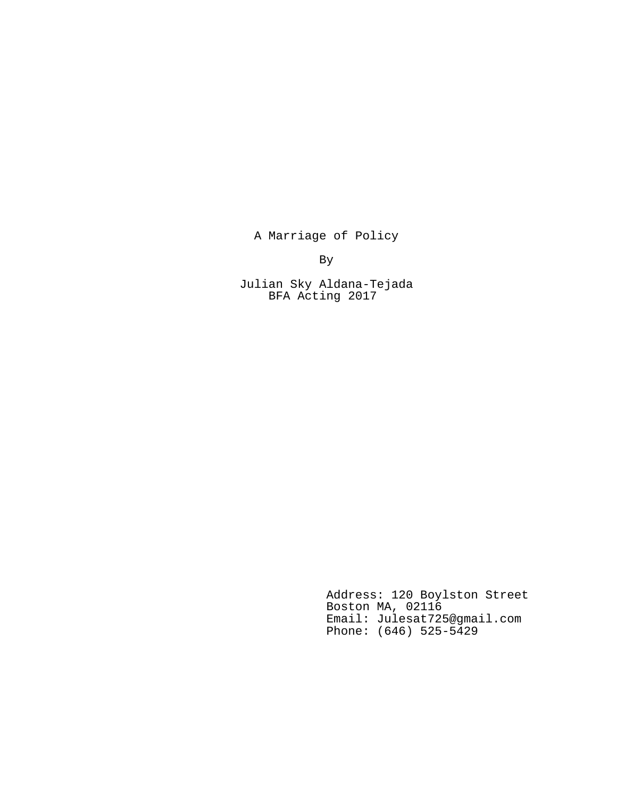A Marriage of Policy

By

Julian Sky Aldana-Tejada BFA Acting 2017

> Address: 120 Boylston Street Boston MA, 02116 Email: Julesat725@gmail.com Phone: (646) 525-5429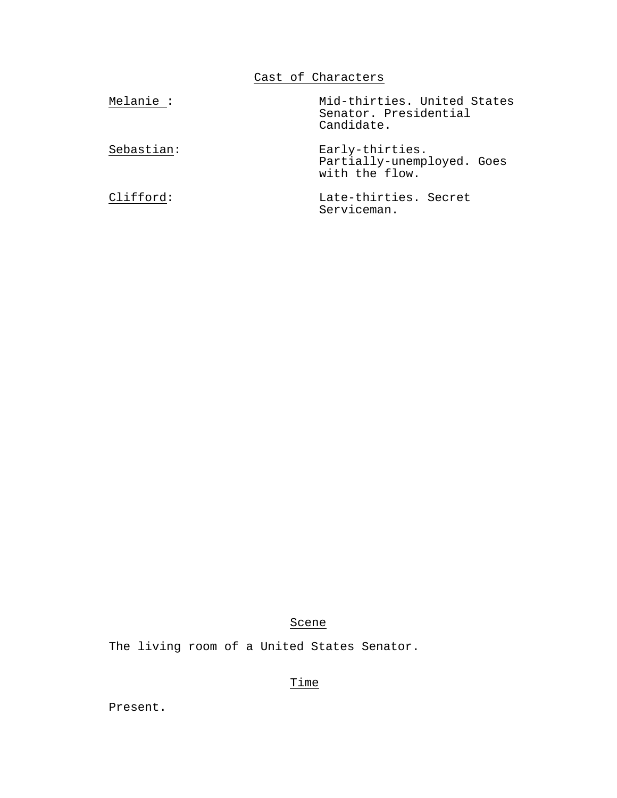Cast of Characters

| Melanie :  | Mid-thirties. United States<br>Senator. Presidential<br>Candidate. |
|------------|--------------------------------------------------------------------|
| Sebastian: | Early-thirties.<br>Partially-unemployed. Goes<br>with the flow.    |
| Clifford:  | Late-thirties. Secret<br>Serviceman.                               |

# Scene

The living room of a United States Senator.

# Time

Present.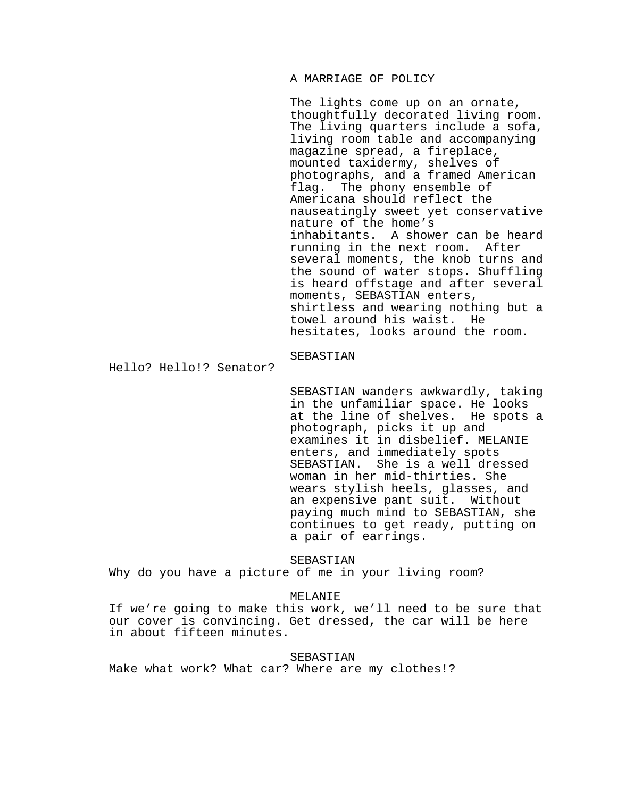# A MARRIAGE OF POLICY

The lights come up on an ornate, thoughtfully decorated living room. The living quarters include a sofa, living room table and accompanying magazine spread, a fireplace, mounted taxidermy, shelves of photographs, and a framed American flag. The phony ensemble of Americana should reflect the nauseatingly sweet yet conservative nature of the home's inhabitants. A shower can be heard running in the next room. After several moments, the knob turns and the sound of water stops. Shuffling is heard offstage and after several moments, SEBASTIAN enters, shirtless and wearing nothing but a towel around his waist. He hesitates, looks around the room.

SEBASTIAN

Hello? Hello!? Senator?

SEBASTIAN wanders awkwardly, taking in the unfamiliar space. He looks at the line of shelves. He spots a photograph, picks it up and examines it in disbelief. MELANIE enters, and immediately spots SEBASTIAN. She is a well dressed woman in her mid-thirties. She wears stylish heels, glasses, and an expensive pant suit. Without paying much mind to SEBASTIAN, she continues to get ready, putting on a pair of earrings.

SEBASTIAN Why do you have a picture of me in your living room?

# MELANIE

If we're going to make this work, we'll need to be sure that our cover is convincing. Get dressed, the car will be here in about fifteen minutes.

### SEBASTIAN

Make what work? What car? Where are my clothes!?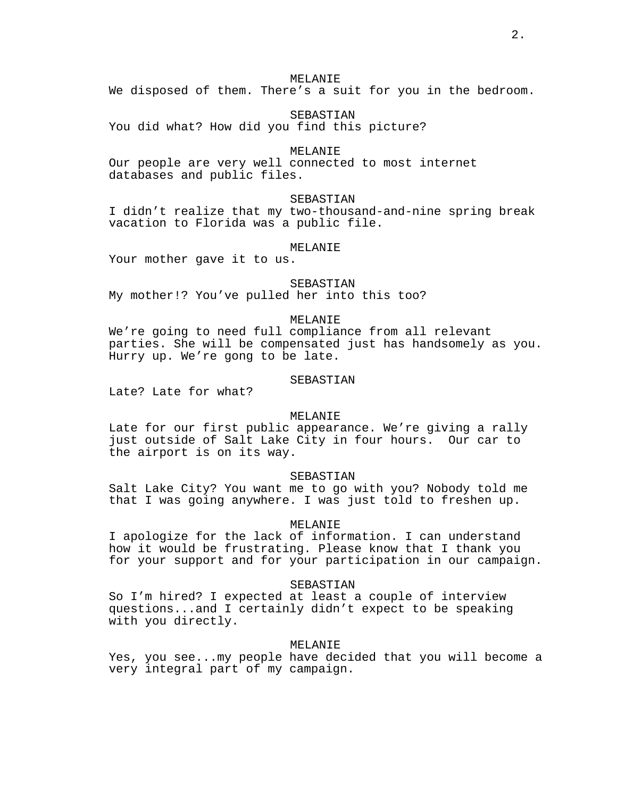We disposed of them. There's a suit for you in the bedroom.

SEBASTIAN

You did what? How did you find this picture?

# MELANIE

Our people are very well connected to most internet databases and public files.

# SEBASTIAN

I didn't realize that my two-thousand-and-nine spring break vacation to Florida was a public file.

#### MELANIE

Your mother gave it to us.

SEBASTIAN My mother!? You've pulled her into this too?

### MELANIE

We're going to need full compliance from all relevant parties. She will be compensated just has handsomely as you. Hurry up. We're gong to be late.

# SEBASTIAN

Late? Late for what?

# MELANIE

Late for our first public appearance. We're giving a rally just outside of Salt Lake City in four hours. Our car to the airport is on its way.

### SEBASTIAN

Salt Lake City? You want me to go with you? Nobody told me that I was going anywhere. I was just told to freshen up.

# MELANIE

I apologize for the lack of information. I can understand how it would be frustrating. Please know that I thank you for your support and for your participation in our campaign.

#### SEBASTIAN

So I'm hired? I expected at least a couple of interview questions...and I certainly didn't expect to be speaking with you directly.

#### MELANIE

Yes, you see...my people have decided that you will become a very integral part of my campaign.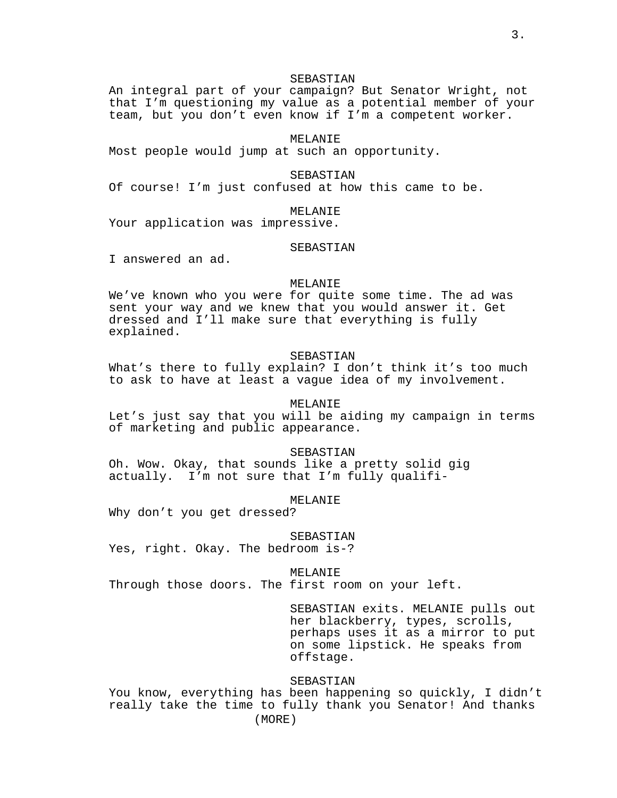### SEBASTIAN

An integral part of your campaign? But Senator Wright, not that I'm questioning my value as a potential member of your team, but you don't even know if I'm a competent worker.

# MELANIE

Most people would jump at such an opportunity.

### SEBASTIAN

Of course! I'm just confused at how this came to be.

### MELANIE

Your application was impressive.

# SEBASTIAN

I answered an ad.

# MELANIE

We've known who you were for quite some time. The ad was sent your way and we knew that you would answer it. Get dressed and I'll make sure that everything is fully explained.

### SEBASTIAN

What's there to fully explain? I don't think it's too much to ask to have at least a vague idea of my involvement.

# MELANIE

Let's just say that you will be aiding my campaign in terms of marketing and public appearance.

SEBASTIAN Oh. Wow. Okay, that sounds like a pretty solid gig actually. I'm not sure that I'm fully qualifi-

### MELANIE

Why don't you get dressed?

#### SEBASTIAN

Yes, right. Okay. The bedroom is-?

### MELANIE

Through those doors. The first room on your left.

SEBASTIAN exits. MELANIE pulls out her blackberry, types, scrolls, perhaps uses it as a mirror to put on some lipstick. He speaks from offstage.

# SEBASTIAN

You know, everything has been happening so quickly, I didn't really take the time to fully thank you Senator! And thanks (MORE)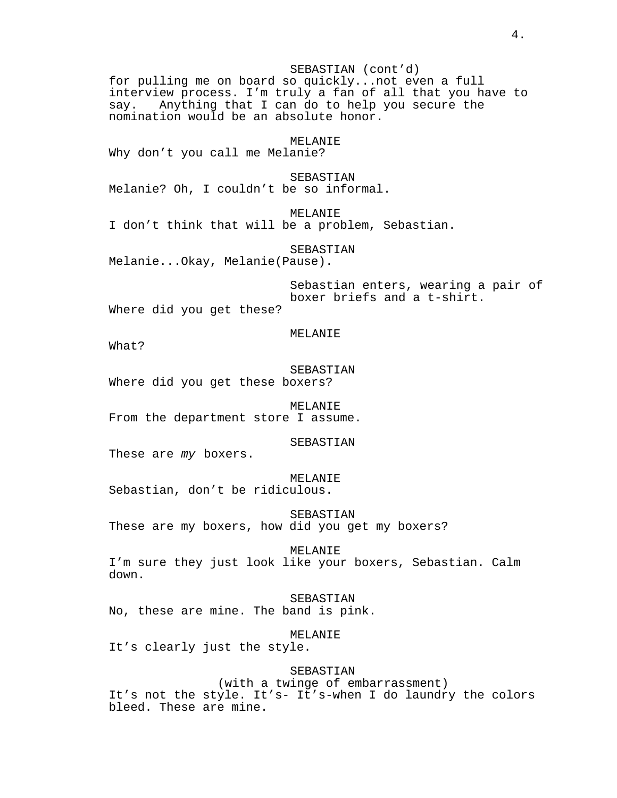SEBASTIAN (cont'd) for pulling me on board so quickly...not even a full interview process. I'm truly a fan of all that you have to say. Anything that I can do to help you secure the nomination would be an absolute honor. MELANIE Why don't you call me Melanie? SEBASTIAN Melanie? Oh, I couldn't be so informal. MELANIE I don't think that will be a problem, Sebastian. SEBASTIAN Melanie...Okay, Melanie(Pause). Sebastian enters, wearing a pair of boxer briefs and a t-shirt. Where did you get these? MELANIE What? SEBASTIAN Where did you get these boxers? MELANIE From the department store I assume. SEBASTIAN These are *my* boxers. MELANIE Sebastian, don't be ridiculous. SEBASTIAN These are my boxers, how did you get my boxers? MELANIE I'm sure they just look like your boxers, Sebastian. Calm down. SEBASTIAN No, these are mine. The band is pink. MELANIE It's clearly just the style. SEBASTIAN (with a twinge of embarrassment) It's not the style. It's- It's-when I do laundry the colors bleed. These are mine.

4.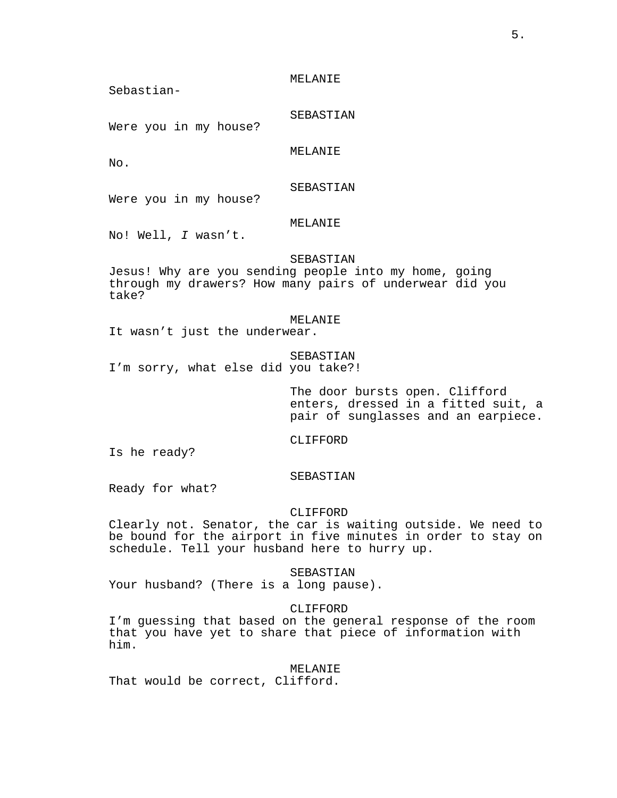Sebastian-

SEBASTIAN

Were you in my house?

MELANIE

No.

SEBASTIAN

Were you in my house?

# MELANIE

No! Well, *I* wasn't.

# SEBASTIAN

Jesus! Why are you sending people into my home, going through my drawers? How many pairs of underwear did you take?

### MELANIE

It wasn't just the underwear.

# SEBASTIAN I'm sorry, what else did you take?!

The door bursts open. Clifford enters, dressed in a fitted suit, a pair of sunglasses and an earpiece.

CLIFFORD

Is he ready?

# SEBASTIAN

Ready for what?

### CLIFFORD

Clearly not. Senator, the car is waiting outside. We need to be bound for the airport in five minutes in order to stay on schedule. Tell your husband here to hurry up.

# SEBASTIAN

Your husband? (There is a long pause).

# CLIFFORD

I'm guessing that based on the general response of the room that you have yet to share that piece of information with him.

# MELANIE

That would be correct, Clifford.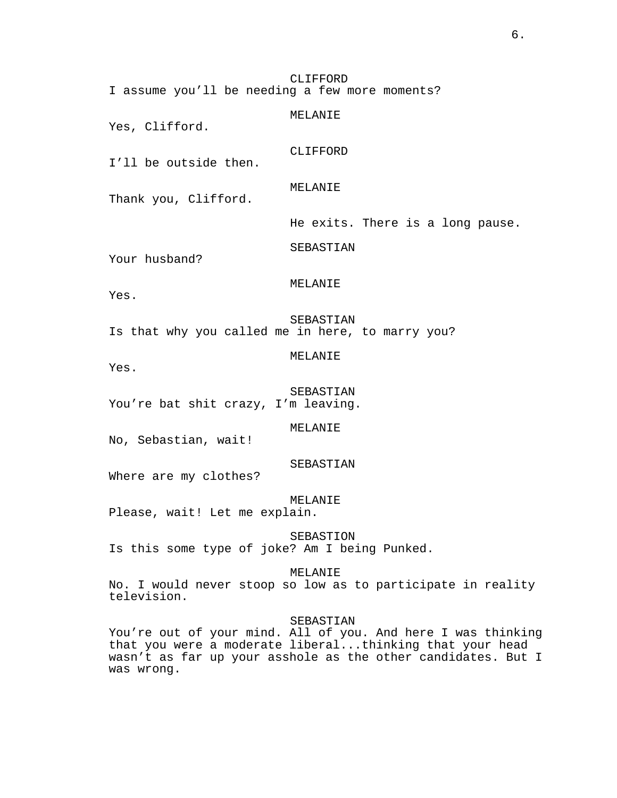CLIFFORD I assume you'll be needing a few more moments?

MELANIE Yes, Clifford. CLIFFORD I'll be outside then. MELANIE Thank you, Clifford. He exits. There is a long pause. SEBASTIAN Your husband? MELANIE Yes. SEBASTIAN Is that why you called me in here, to marry you? MELANIE Yes. SEBASTIAN You're bat shit crazy, I'm leaving.

MELANIE

No, Sebastian, wait!

SEBASTIAN

Where are my clothes?

MELANIE

Please, wait! Let me explain.

SEBASTION

Is this some type of joke? Am I being Punked.

MELANIE

No. I would never stoop so low as to participate in reality television.

SEBASTIAN

You're out of your mind. All of you. And here I was thinking that you were a moderate liberal...thinking that your head wasn't as far up your asshole as the other candidates. But I was wrong.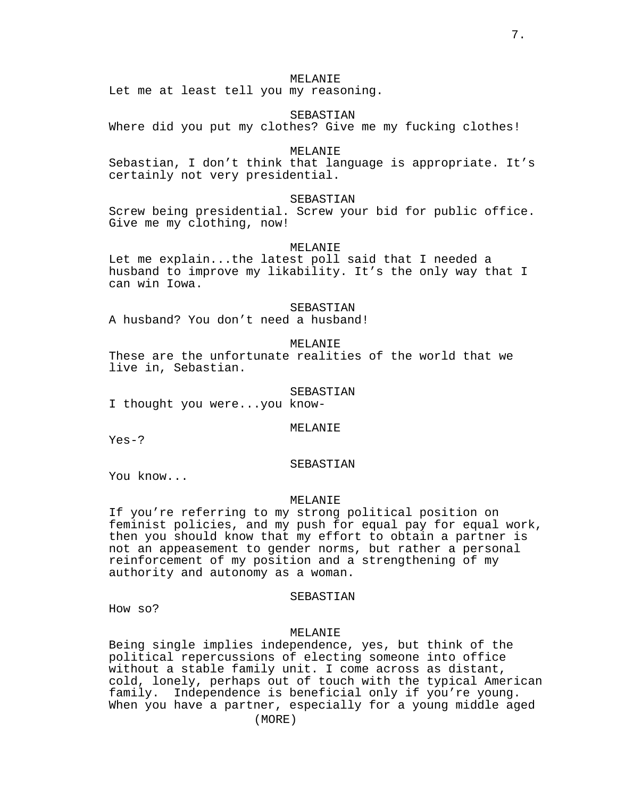Let me at least tell you my reasoning.

SEBASTIAN

Where did you put my clothes? Give me my fucking clothes!

### MELANIE

Sebastian, I don't think that language is appropriate. It's certainly not very presidential.

# SEBASTIAN

Screw being presidential. Screw your bid for public office. Give me my clothing, now!

### MELANIE

Let me explain...the latest poll said that I needed a husband to improve my likability. It's the only way that I can win Iowa.

#### SEBASTIAN

A husband? You don't need a husband!

# MELANIE

These are the unfortunate realities of the world that we live in, Sebastian.

#### SEBASTIAN

I thought you were...you know-

#### MELANIE

Yes-?

# SEBASTIAN

You know...

### MELANIE

If you're referring to my strong political position on feminist policies, and my push for equal pay for equal work, then you should know that my effort to obtain a partner is not an appeasement to gender norms, but rather a personal reinforcement of my position and a strengthening of my authority and autonomy as a woman.

### SEBASTIAN

How so?

# MELANIE

Being single implies independence, yes, but think of the political repercussions of electing someone into office without a stable family unit. I come across as distant, cold, lonely, perhaps out of touch with the typical American family. Independence is beneficial only if you're young. When you have a partner, especially for a young middle aged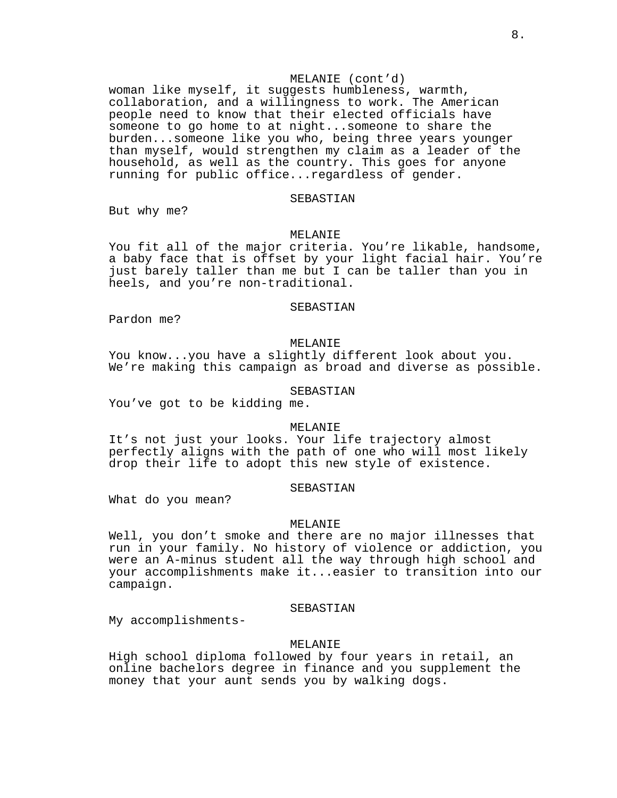# MELANIE (cont'd)

woman like myself, it suggests humbleness, warmth, collaboration, and a willingness to work. The American people need to know that their elected officials have someone to go home to at night...someone to share the burden...someone like you who, being three years younger than myself, would strengthen my claim as a leader of the household, as well as the country. This goes for anyone running for public office...regardless of gender.

### SEBASTIAN

But why me?

### MELANIE

You fit all of the major criteria. You're likable, handsome, a baby face that is offset by your light facial hair. You're just barely taller than me but I can be taller than you in heels, and you're non-traditional.

### SEBASTIAN

Pardon me?

# MELANIE

You know...you have a slightly different look about you. We're making this campaign as broad and diverse as possible.

### SEBASTIAN

You've got to be kidding me.

#### MELANIE

It's not just your looks. Your life trajectory almost perfectly aligns with the path of one who will most likely drop their life to adopt this new style of existence.

### SEBASTIAN

What do you mean?

#### MELANIE

Well, you don't smoke and there are no major illnesses that run in your family. No history of violence or addiction, you were an A-minus student all the way through high school and your accomplishments make it...easier to transition into our campaign.

#### SEBASTIAN

My accomplishments-

# MELANIE

High school diploma followed by four years in retail, an online bachelors degree in finance and you supplement the money that your aunt sends you by walking dogs.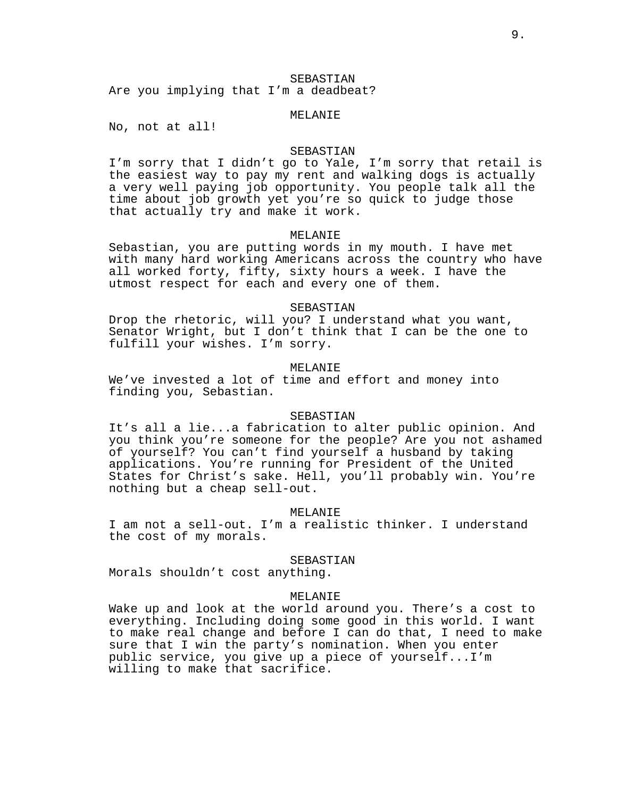# SEBASTIAN

Are you implying that I'm a deadbeat?

# MELANIE

No, not at all!

### SEBASTIAN

I'm sorry that I didn't go to Yale, I'm sorry that retail is the easiest way to pay my rent and walking dogs is actually a very well paying job opportunity. You people talk all the time about job growth yet you're so quick to judge those that actually try and make it work.

#### MELANIE

Sebastian, you are putting words in my mouth. I have met with many hard working Americans across the country who have all worked forty, fifty, sixty hours a week. I have the utmost respect for each and every one of them.

#### SEBASTIAN

Drop the rhetoric, will you? I understand what you want, Senator Wright, but I don't think that I can be the one to fulfill your wishes. I'm sorry.

# MELANIE

We've invested a lot of time and effort and money into finding you, Sebastian.

# SEBASTIAN

It's all a lie...a fabrication to alter public opinion. And you think you're someone for the people? Are you not ashamed of yourself? You can't find yourself a husband by taking applications. You're running for President of the United States for Christ's sake. Hell, you'll probably win. You're nothing but a cheap sell-out.

### MELANIE

I am not a sell-out. I'm a realistic thinker. I understand the cost of my morals.

#### SEBASTIAN

Morals shouldn't cost anything.

### MELANIE

Wake up and look at the world around you. There's a cost to everything. Including doing some good in this world. I want to make real change and before I can do that, I need to make sure that I win the party's nomination. When you enter public service, you give up a piece of yourself...I'm willing to make that sacrifice.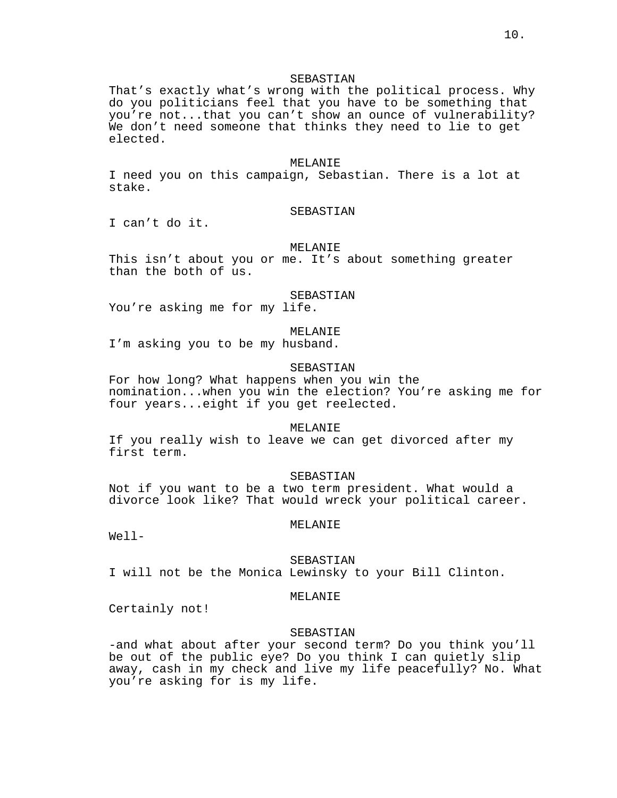# SEBASTIAN

That's exactly what's wrong with the political process. Why do you politicians feel that you have to be something that you're not...that you can't show an ounce of vulnerability? We don't need someone that thinks they need to lie to get elected.

#### MELANIE

I need you on this campaign, Sebastian. There is a lot at stake.

### SEBASTIAN

I can't do it.

### MELANIE

This isn't about you or me. It's about something greater than the both of us.

#### SEBASTIAN

You're asking me for my life.

# MELANIE

I'm asking you to be my husband.

# SEBASTIAN

For how long? What happens when you win the nomination...when you win the election? You're asking me for four years...eight if you get reelected.

#### MELANIE

If you really wish to leave we can get divorced after my first term.

### SEBASTIAN

Not if you want to be a two term president. What would a divorce look like? That would wreck your political career.

#### MELANIE

Well-

#### SEBASTIAN

I will not be the Monica Lewinsky to your Bill Clinton.

#### MELANIE

Certainly not!

# SEBASTIAN

-and what about after your second term? Do you think you'll be out of the public eye? Do you think I can quietly slip away, cash in my check and live my life peacefully? No. What you're asking for is my life.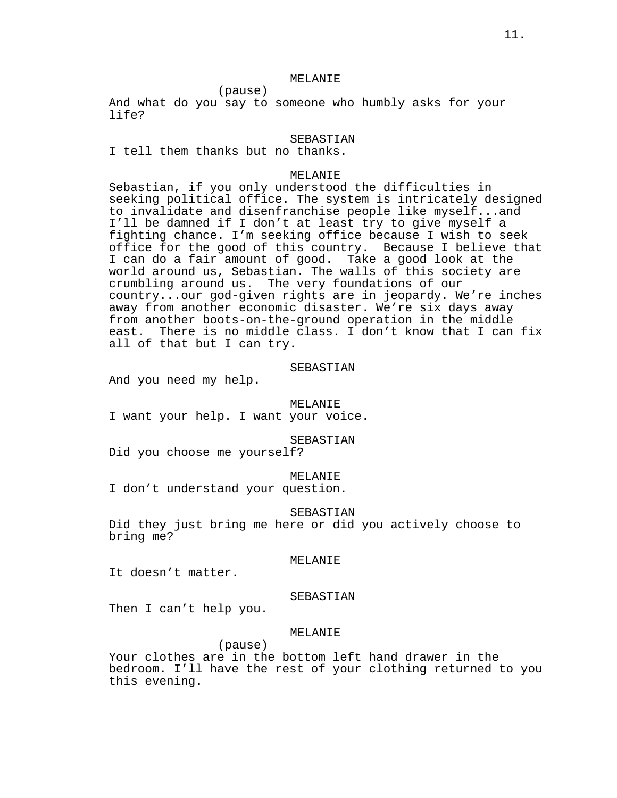And what do you say to someone who humbly asks for your life?

### SEBASTIAN

I tell them thanks but no thanks.

(pause)

# MELANIE

Sebastian, if you only understood the difficulties in seeking political office. The system is intricately designed to invalidate and disenfranchise people like myself...and I'll be damned if I don't at least try to give myself a fighting chance. I'm seeking office because I wish to seek office for the good of this country. Because I believe that I can do a fair amount of good. Take a good look at the world around us, Sebastian. The walls of this society are crumbling around us. The very foundations of our country...our god-given rights are in jeopardy. We're inches away from another economic disaster. We're six days away from another boots-on-the-ground operation in the middle east. There is no middle class. I don't know that I can fix all of that but I can try.

# SEBASTIAN

And you need my help.

#### MELANIE

I want your help. I want your voice.

### SEBASTIAN

Did you choose me yourself?

### MELANIE

I don't understand your question.

#### SEBASTIAN

Did they just bring me here or did you actively choose to bring me?

#### MELANIE

It doesn't matter.

### SEBASTIAN

Then I can't help you.

# MELANIE

(pause) Your clothes are in the bottom left hand drawer in the bedroom. I'll have the rest of your clothing returned to you this evening.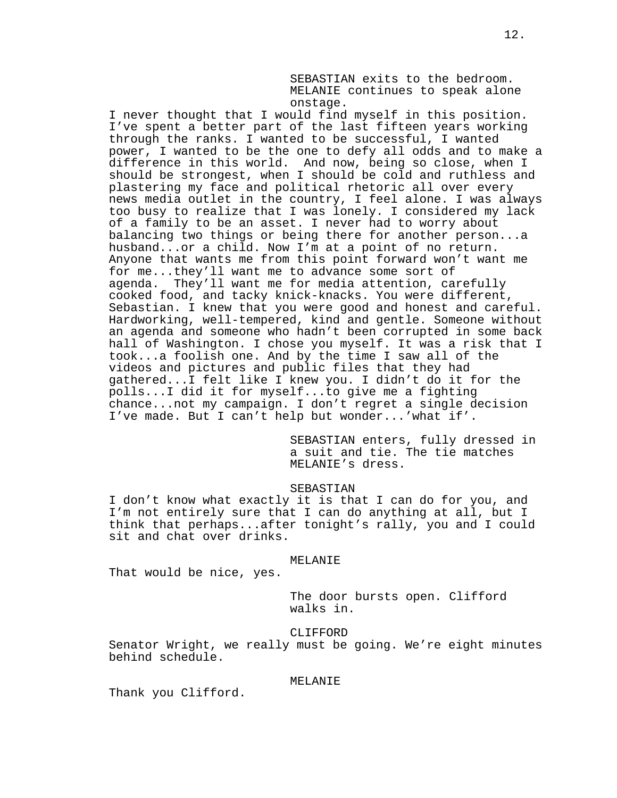SEBASTIAN exits to the bedroom. MELANIE continues to speak alone onstage.

I never thought that I would find myself in this position. I've spent a better part of the last fifteen years working through the ranks. I wanted to be successful, I wanted power, I wanted to be the one to defy all odds and to make a difference in this world. And now, being so close, when I should be strongest, when I should be cold and ruthless and plastering my face and political rhetoric all over every news media outlet in the country, I feel alone. I was always too busy to realize that I was lonely. I considered my lack of a family to be an asset. I never had to worry about balancing two things or being there for another person...a husband...or a child. Now I'm at a point of no return. Anyone that wants me from this point forward won't want me for me...they'll want me to advance some sort of agenda. They'll want me for media attention, carefully cooked food, and tacky knick-knacks. You were different, Sebastian. I knew that you were good and honest and careful. Hardworking, well-tempered, kind and gentle. Someone without an agenda and someone who hadn't been corrupted in some back hall of Washington. I chose you myself. It was a risk that I took...a foolish one. And by the time I saw all of the videos and pictures and public files that they had gathered...I felt like I knew you. I didn't do it for the polls...I did it for myself...to give me a fighting chance...not my campaign. I don't regret a single decision I've made. But I can't help but wonder...'what if'.

> SEBASTIAN enters, fully dressed in a suit and tie. The tie matches MELANIE's dress.

### SEBASTIAN

I don't know what exactly it is that I can do for you, and I'm not entirely sure that I can do anything at all, but I think that perhaps...after tonight's rally, you and I could sit and chat over drinks.

#### MELANIE

That would be nice, yes.

The door bursts open. Clifford walks in.

# CLIFFORD

Senator Wright, we really must be going. We're eight minutes behind schedule.

# MELANIE

Thank you Clifford.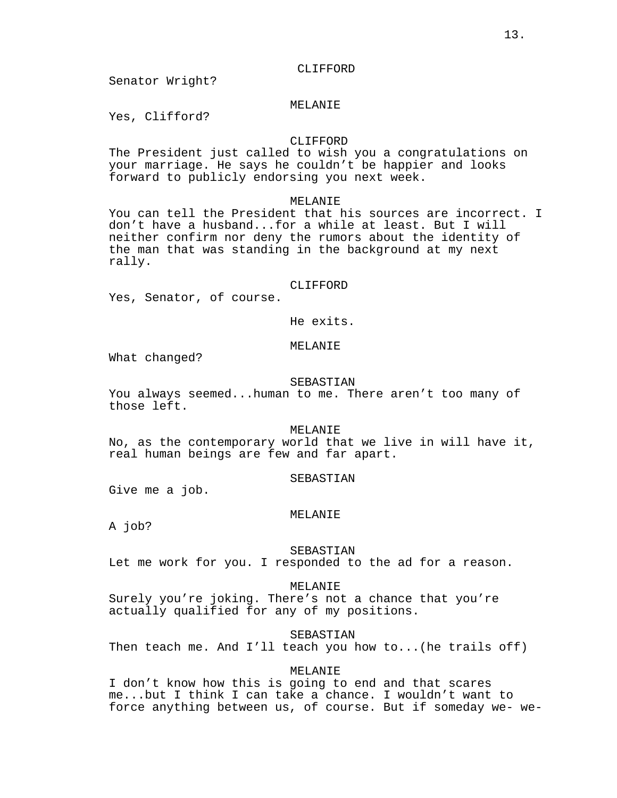### CLIFFORD

Senator Wright?

# MELANIE

Yes, Clifford?

# CLIFFORD

The President just called to wish you a congratulations on your marriage. He says he couldn't be happier and looks forward to publicly endorsing you next week.

### MELANIE

You can tell the President that his sources are incorrect. I don't have a husband...for a while at least. But I will neither confirm nor deny the rumors about the identity of the man that was standing in the background at my next rally.

### CLIFFORD

Yes, Senator, of course.

He exits.

# MELANIE

What changed?

### SEBASTIAN

You always seemed...human to me. There aren't too many of those left.

### MELANIE

No, as the contemporary world that we live in will have it, real human beings are few and far apart.

### SEBASTIAN

Give me a job.

### MELANIE

A job?

# SEBASTIAN

Let me work for you. I responded to the ad for a reason.

# MELANIE

Surely you're joking. There's not a chance that you're actually qualified for any of my positions.

SEBASTIAN

Then teach me. And I'll teach you how to...(he trails off)

# MELANIE

I don't know how this is going to end and that scares me...but I think I can take a chance. I wouldn't want to force anything between us, of course. But if someday we- we-